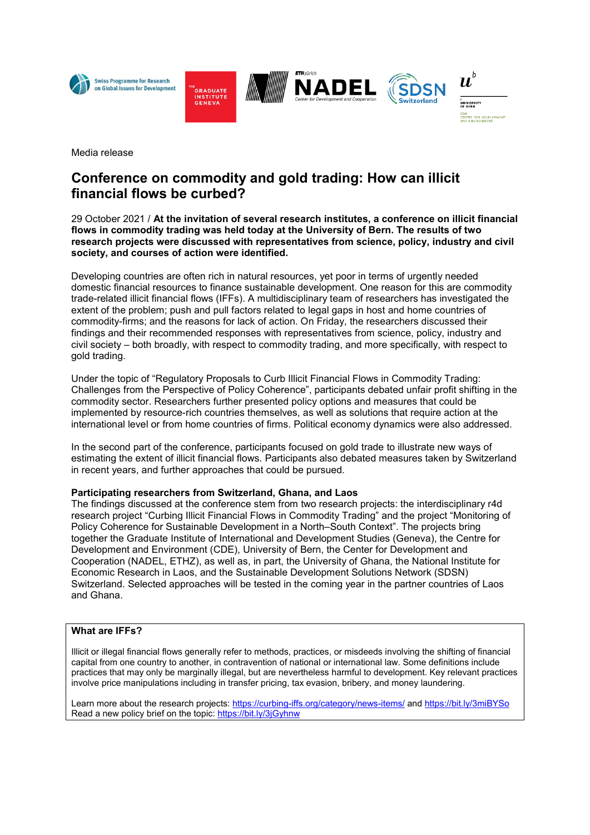







Media release

# **Conference on commodity and gold trading: How can illicit financial flows be curbed?**

## 29 October 2021 / **At the invitation of several research institutes, a conference on illicit financial flows in commodity trading was held today at the University of Bern. The results of two research projects were discussed with representatives from science, policy, industry and civil society, and courses of action were identified.**

Developing countries are often rich in natural resources, yet poor in terms of urgently needed domestic financial resources to finance sustainable development. One reason for this are commodity trade-related illicit financial flows (IFFs). A multidisciplinary team of researchers has investigated the extent of the problem; push and pull factors related to legal gaps in host and home countries of commodity-firms; and the reasons for lack of action. On Friday, the researchers discussed their findings and their recommended responses with representatives from science, policy, industry and civil society – both broadly, with respect to commodity trading, and more specifically, with respect to gold trading.

Under the topic of "Regulatory Proposals to Curb Illicit Financial Flows in Commodity Trading: Challenges from the Perspective of Policy Coherence", participants debated unfair profit shifting in the commodity sector. Researchers further presented policy options and measures that could be implemented by resource-rich countries themselves, as well as solutions that require action at the international level or from home countries of firms. Political economy dynamics were also addressed.

In the second part of the conference, participants focused on gold trade to illustrate new ways of estimating the extent of illicit financial flows. Participants also debated measures taken by Switzerland in recent years, and further approaches that could be pursued.

## **Participating researchers from Switzerland, Ghana, and Laos**

The findings discussed at the conference stem from two research projects: the interdisciplinary r4d research project "Curbing Illicit Financial Flows in Commodity Trading" and the project "Monitoring of Policy Coherence for Sustainable Development in a North–South Context". The projects bring together the Graduate Institute of International and Development Studies (Geneva), the Centre for Development and Environment (CDE), University of Bern, the Center for Development and Cooperation (NADEL, ETHZ), as well as, in part, the University of Ghana, the National Institute for Economic Research in Laos, and the Sustainable Development Solutions Network (SDSN) Switzerland. Selected approaches will be tested in the coming year in the partner countries of Laos and Ghana.

## **What are IFFs?**

Illicit or illegal financial flows generally refer to methods, practices, or misdeeds involving the shifting of financial capital from one country to another, in contravention of national or international law. Some definitions include practices that may only be marginally illegal, but are nevertheless harmful to development. Key relevant practices involve price manipulations including in transfer pricing, tax evasion, bribery, and money laundering.

Learn more about the research projects: <https://curbing-iffs.org/category/news-items/> and <https://bit.ly/3miBYSo> Read a new policy brief on the topic[: https://bit.ly/3jGyhnw](https://bit.ly/3jGyhnw)